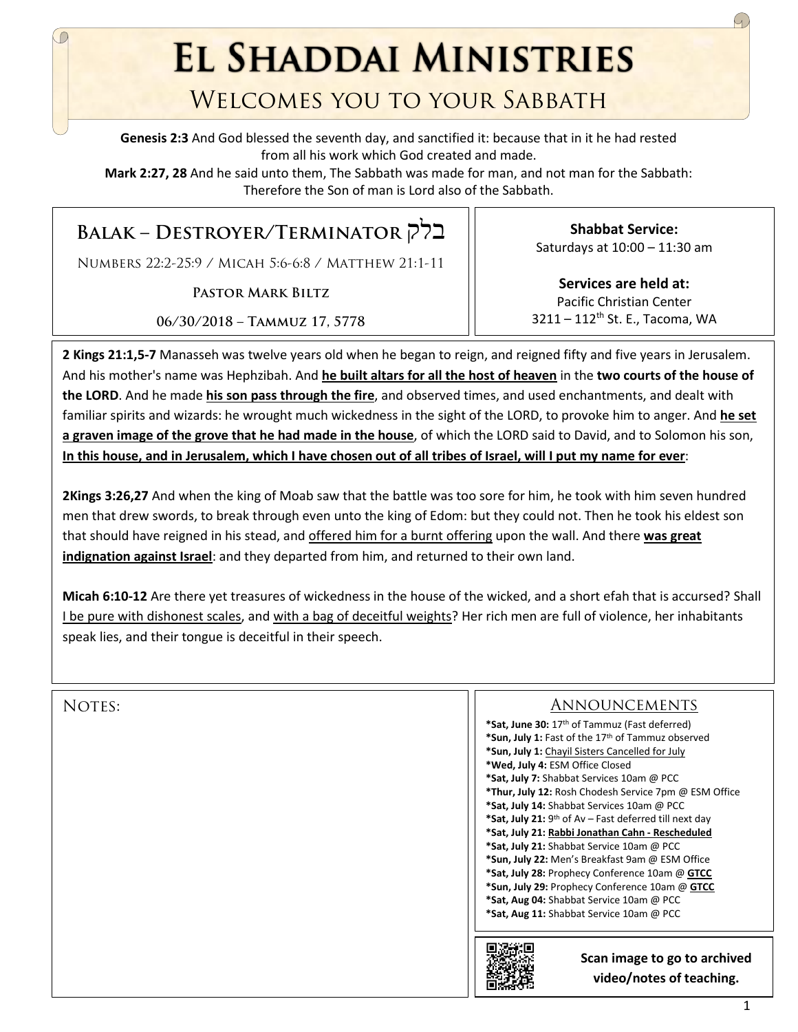**EL SHADDAI MINISTRIES** 

## Welcomes you to your Sabbath

**Genesis 2:3** And God blessed the seventh day, and sanctified it: because that in it he had rested from all his work which God created and made.

**Mark 2:27, 28** And he said unto them, The Sabbath was made for man, and not man for the Sabbath: Therefore the Son of man is Lord also of the Sabbath.

## **Balak – Destroyer/Terminator** בלק

Numbers 22:2-25:9 / Micah 5:6-6:8 / Matthew 21:1-11

**Pastor Mark Biltz**

**06/30/2018 – Tammuz 17, 5778**

**Shabbat Service:**  Saturdays at 10:00 – 11:30 am

**Services are held at:**  Pacific Christian Center 3211 – 112<sup>th</sup> St. E., Tacoma, WA

**2 Kings 21:1,5-7** Manasseh was twelve years old when he began to reign, and reigned fifty and five years in Jerusalem. And his mother's name was Hephzibah. And **he built altars for all the host of heaven** in the **two courts of the house of the LORD**. And he made **his son pass through the fire**, and observed times, and used enchantments, and dealt with familiar spirits and wizards: he wrought much wickedness in the sight of the LORD, to provoke him to anger. And **he set a graven image of the grove that he had made in the house**, of which the LORD said to David, and to Solomon his son, **In this house, and in Jerusalem, which I have chosen out of all tribes of Israel, will I put my name for ever**:

**2Kings 3:26,27** And when the king of Moab saw that the battle was too sore for him, he took with him seven hundred men that drew swords, to break through even unto the king of Edom: but they could not. Then he took his eldest son that should have reigned in his stead, and offered him for a burnt offering upon the wall. And there **was great indignation against Israel**: and they departed from him, and returned to their own land.

**Micah 6:10-12** Are there yet treasures of wickedness in the house of the wicked, and a short efah that is accursed? Shall I be pure with dishonest scales, and with a bag of deceitful weights? Her rich men are full of violence, her inhabitants speak lies, and their tongue is deceitful in their speech.

|        | Scan image to go to archived<br>video/notes of teaching.           |
|--------|--------------------------------------------------------------------|
|        | *Sat, Aug 11: Shabbat Service 10am @ PCC                           |
|        | *Sat, Aug 04: Shabbat Service 10am @ PCC                           |
|        | *Sun, July 29: Prophecy Conference 10am @ GTCC                     |
|        | *Sat, July 28: Prophecy Conference 10am @ GTCC                     |
|        | *Sun, July 22: Men's Breakfast 9am @ ESM Office                    |
|        | *Sat, July 21: Shabbat Service 10am @ PCC                          |
|        | *Sat, July 21: Rabbi Jonathan Cahn - Rescheduled                   |
|        | *Sat, July 21: 9 <sup>th</sup> of Av – Fast deferred till next day |
|        | *Sat, July 14: Shabbat Services 10am @ PCC                         |
|        | *Thur, July 12: Rosh Chodesh Service 7pm @ ESM Office              |
|        | *Sat, July 7: Shabbat Services 10am @ PCC                          |
|        | *Wed, July 4: ESM Office Closed                                    |
|        | *Sun, July 1: Chayil Sisters Cancelled for July                    |
|        | *Sun, July 1: Fast of the 17th of Tammuz observed                  |
|        | *Sat, June 30: 17 <sup>th</sup> of Tammuz (Fast deferred)          |
| NOTES: | <b>ANNOUNCEMENTS</b>                                               |
|        |                                                                    |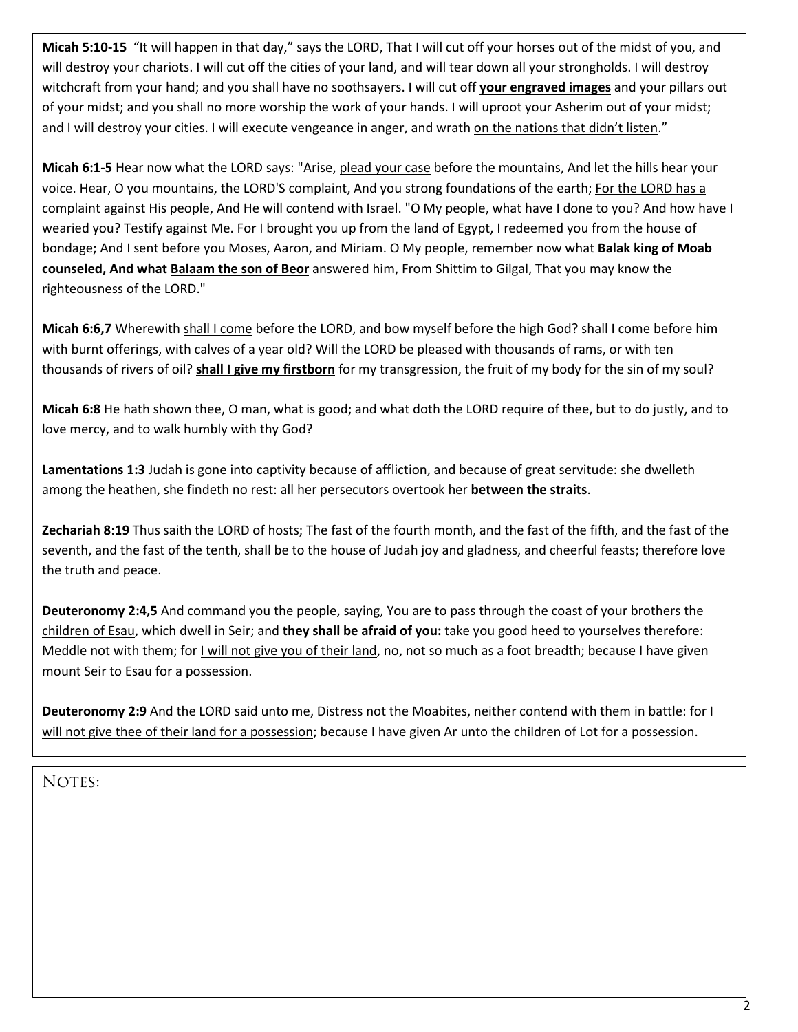**Micah 5:10-15** "It will happen in that day," says the LORD, That I will cut off your horses out of the midst of you, and will destroy your chariots. I will cut off the cities of your land, and will tear down all your strongholds. I will destroy witchcraft from your hand; and you shall have no soothsayers. I will cut off **your engraved images** and your pillars out of your midst; and you shall no more worship the work of your hands. I will uproot your Asherim out of your midst; and I will destroy your cities. I will execute vengeance in anger, and wrath on the nations that didn't listen."

**Micah 6:1-5** Hear now what the LORD says: "Arise, plead your case before the mountains, And let the hills hear your voice. Hear, O you mountains, the LORD'S complaint, And you strong foundations of the earth; For the LORD has a complaint against His people, And He will contend with Israel. "O My people, what have I done to you? And how have I wearied you? Testify against Me. For I brought you up from the land of Egypt, I redeemed you from the house of bondage; And I sent before you Moses, Aaron, and Miriam. O My people, remember now what **Balak king of Moab counseled, And what Balaam the son of Beor** answered him, From Shittim to Gilgal, That you may know the righteousness of the LORD."

**Micah 6:6,7** Wherewith shall I come before the LORD, and bow myself before the high God? shall I come before him with burnt offerings, with calves of a year old? Will the LORD be pleased with thousands of rams, or with ten thousands of rivers of oil? **shall I give my firstborn** for my transgression, the fruit of my body for the sin of my soul?

**Micah 6:8** He hath shown thee, O man, what is good; and what doth the LORD require of thee, but to do justly, and to love mercy, and to walk humbly with thy God?

**Lamentations 1:3** Judah is gone into captivity because of affliction, and because of great servitude: she dwelleth among the heathen, she findeth no rest: all her persecutors overtook her **between the straits**.

**Zechariah 8:19** Thus saith the LORD of hosts; The fast of the fourth month, and the fast of the fifth, and the fast of the seventh, and the fast of the tenth, shall be to the house of Judah joy and gladness, and cheerful feasts; therefore love the truth and peace.

**Deuteronomy 2:4,5** And command you the people, saying, You are to pass through the coast of your brothers the children of Esau, which dwell in Seir; and **they shall be afraid of you:** take you good heed to yourselves therefore: Meddle not with them; for I will not give you of their land, no, not so much as a foot breadth; because I have given mount Seir to Esau for a possession.

**Deuteronomy 2:9** And the LORD said unto me, Distress not the Moabites, neither contend with them in battle: for I will not give thee of their land for a possession; because I have given Ar unto the children of Lot for a possession.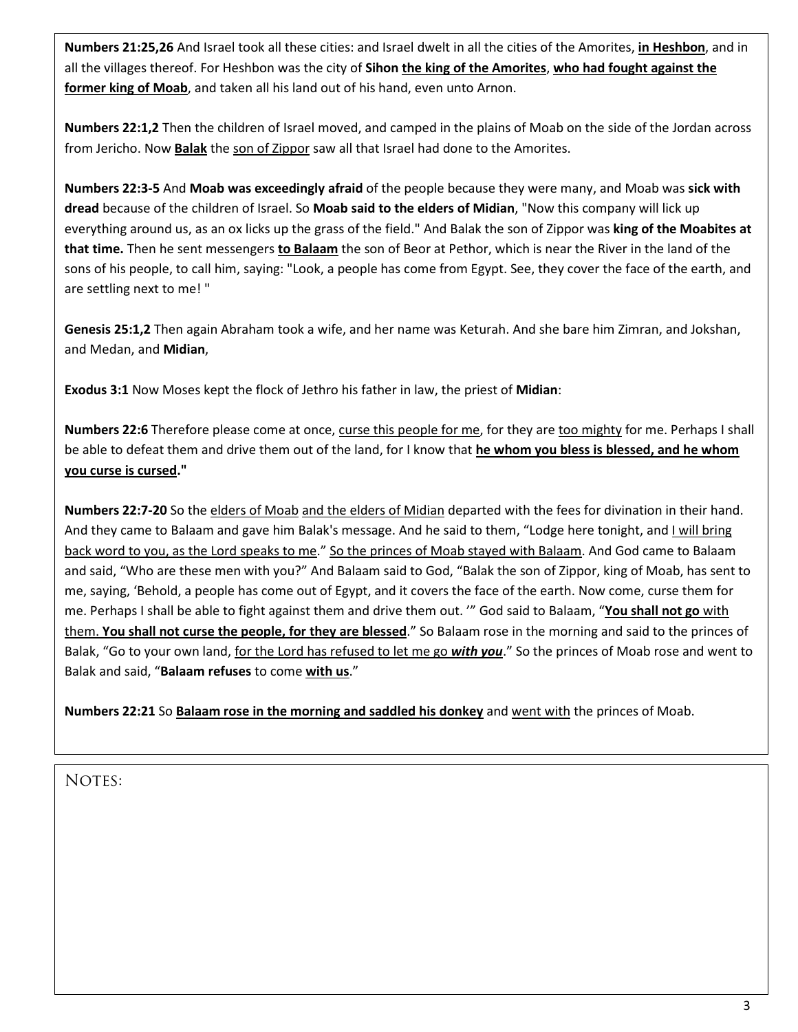**Numbers 21:25,26** And Israel took all these cities: and Israel dwelt in all the cities of the Amorites, **in Heshbon**, and in all the villages thereof. For Heshbon was the city of **Sihon the king of the Amorites**, **who had fought against the former king of Moab**, and taken all his land out of his hand, even unto Arnon.

**Numbers 22:1,2** Then the children of Israel moved, and camped in the plains of Moab on the side of the Jordan across from Jericho. Now **Balak** the son of Zippor saw all that Israel had done to the Amorites.

**Numbers 22:3-5** And **Moab was exceedingly afraid** of the people because they were many, and Moab was **sick with dread** because of the children of Israel. So **Moab said to the elders of Midian**, "Now this company will lick up everything around us, as an ox licks up the grass of the field." And Balak the son of Zippor was **king of the Moabites at that time.** Then he sent messengers **to Balaam** the son of Beor at Pethor, which is near the River in the land of the sons of his people, to call him, saying: "Look, a people has come from Egypt. See, they cover the face of the earth, and are settling next to me! "

**Genesis 25:1,2** Then again Abraham took a wife, and her name was Keturah. And she bare him Zimran, and Jokshan, and Medan, and **Midian**,

**Exodus 3:1** Now Moses kept the flock of Jethro his father in law, the priest of **Midian**:

**Numbers 22:6** Therefore please come at once, curse this people for me, for they are too mighty for me. Perhaps I shall be able to defeat them and drive them out of the land, for I know that **he whom you bless is blessed, and he whom you curse is cursed."**

**Numbers 22:7-20** So the elders of Moab and the elders of Midian departed with the fees for divination in their hand. And they came to Balaam and gave him Balak's message. And he said to them, "Lodge here tonight, and I will bring back word to you, as the Lord speaks to me." So the princes of Moab stayed with Balaam. And God came to Balaam and said, "Who are these men with you?" And Balaam said to God, "Balak the son of Zippor, king of Moab, has sent to me, saying, 'Behold, a people has come out of Egypt, and it covers the face of the earth. Now come, curse them for me. Perhaps I shall be able to fight against them and drive them out. '" God said to Balaam, "**You shall not go** with them. **You shall not curse the people, for they are blessed**." So Balaam rose in the morning and said to the princes of Balak, "Go to your own land, for the Lord has refused to let me go *with you*." So the princes of Moab rose and went to Balak and said, "**Balaam refuses** to come **with us**."

**Numbers 22:21** So **Balaam rose in the morning and saddled his donkey** and went with the princes of Moab.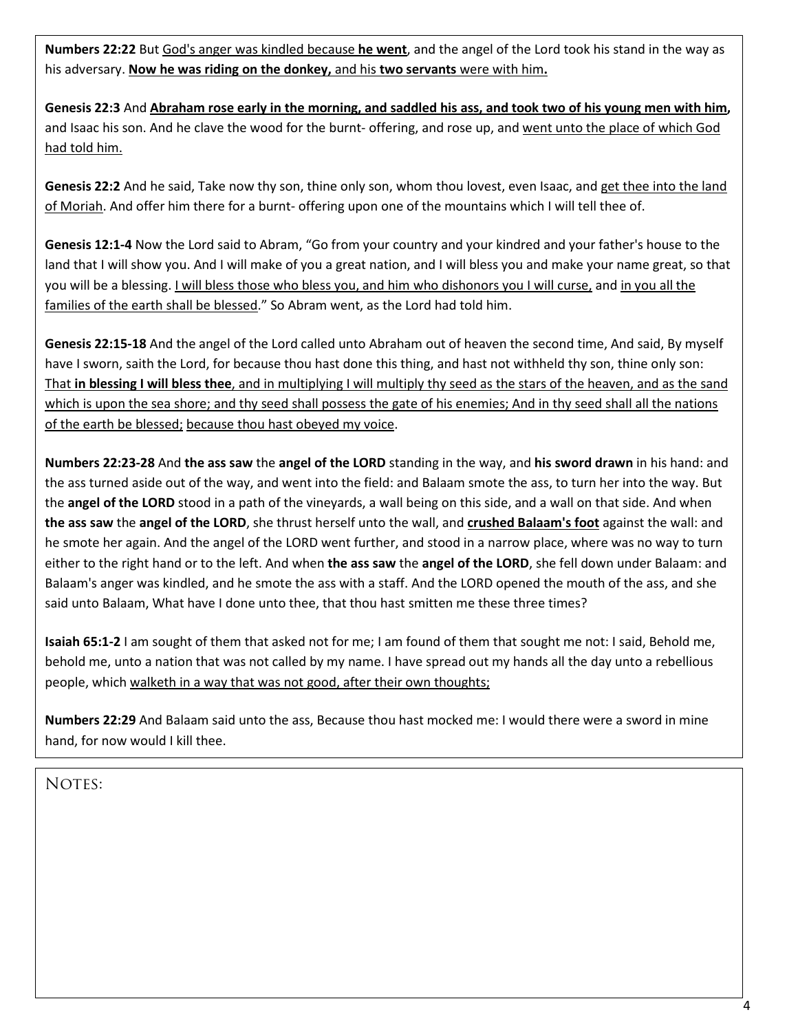**Numbers 22:22** But God's anger was kindled because **he went**, and the angel of the Lord took his stand in the way as his adversary. **Now he was riding on the donkey,** and his **two servants** were with him**.**

**Genesis 22:3** And **Abraham rose early in the morning, and saddled his ass, and took two of his young men with him,** and Isaac his son. And he clave the wood for the burnt- offering, and rose up, and went unto the place of which God had told him.

**Genesis 22:2** And he said, Take now thy son, thine only son, whom thou lovest, even Isaac, and get thee into the land of Moriah. And offer him there for a burnt- offering upon one of the mountains which I will tell thee of.

**Genesis 12:1-4** Now the Lord said to Abram, "Go from your country and your kindred and your father's house to the land that I will show you. And I will make of you a great nation, and I will bless you and make your name great, so that you will be a blessing. I will bless those who bless you, and him who dishonors you I will curse, and in you all the families of the earth shall be blessed." So Abram went, as the Lord had told him.

**Genesis 22:15-18** And the angel of the Lord called unto Abraham out of heaven the second time, And said, By myself have I sworn, saith the Lord, for because thou hast done this thing, and hast not withheld thy son, thine only son: That **in blessing I will bless thee**, and in multiplying I will multiply thy seed as the stars of the heaven, and as the sand which is upon the sea shore; and thy seed shall possess the gate of his enemies; And in thy seed shall all the nations of the earth be blessed; because thou hast obeyed my voice.

**Numbers 22:23-28** And **the ass saw** the **angel of the LORD** standing in the way, and **his sword drawn** in his hand: and the ass turned aside out of the way, and went into the field: and Balaam smote the ass, to turn her into the way. But the **angel of the LORD** stood in a path of the vineyards, a wall being on this side, and a wall on that side. And when **the ass saw** the **angel of the LORD**, she thrust herself unto the wall, and **crushed Balaam's foot** against the wall: and he smote her again. And the angel of the LORD went further, and stood in a narrow place, where was no way to turn either to the right hand or to the left. And when **the ass saw** the **angel of the LORD**, she fell down under Balaam: and Balaam's anger was kindled, and he smote the ass with a staff. And the LORD opened the mouth of the ass, and she said unto Balaam, What have I done unto thee, that thou hast smitten me these three times?

**Isaiah 65:1-2** I am sought of them that asked not for me; I am found of them that sought me not: I said, Behold me, behold me, unto a nation that was not called by my name. I have spread out my hands all the day unto a rebellious people, which walketh in a way that was not good, after their own thoughts;

**Numbers 22:29** And Balaam said unto the ass, Because thou hast mocked me: I would there were a sword in mine hand, for now would I kill thee.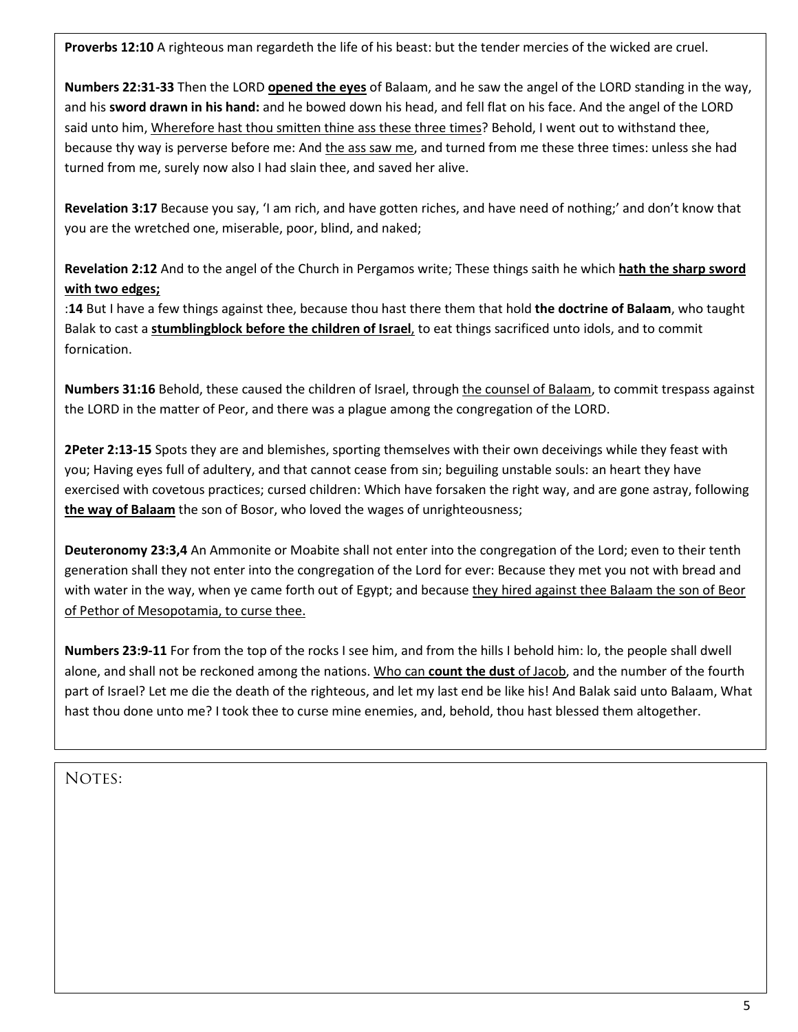**Proverbs 12:10** A righteous man regardeth the life of his beast: but the tender mercies of the wicked are cruel.

**Numbers 22:31-33** Then the LORD **opened the eyes** of Balaam, and he saw the angel of the LORD standing in the way, and his **sword drawn in his hand:** and he bowed down his head, and fell flat on his face. And the angel of the LORD said unto him, Wherefore hast thou smitten thine ass these three times? Behold, I went out to withstand thee, because thy way is perverse before me: And the ass saw me, and turned from me these three times: unless she had turned from me, surely now also I had slain thee, and saved her alive.

**Revelation 3:17** Because you say, 'I am rich, and have gotten riches, and have need of nothing;' and don't know that you are the wretched one, miserable, poor, blind, and naked;

**Revelation 2:12** And to the angel of the Church in Pergamos write; These things saith he which **hath the sharp sword with two edges;**

:**14** But I have a few things against thee, because thou hast there them that hold **the doctrine of Balaam**, who taught Balak to cast a **stumblingblock before the children of Israel**, to eat things sacrificed unto idols, and to commit fornication.

**Numbers 31:16** Behold, these caused the children of Israel, through the counsel of Balaam, to commit trespass against the LORD in the matter of Peor, and there was a plague among the congregation of the LORD.

**2Peter 2:13-15** Spots they are and blemishes, sporting themselves with their own deceivings while they feast with you; Having eyes full of adultery, and that cannot cease from sin; beguiling unstable souls: an heart they have exercised with covetous practices; cursed children: Which have forsaken the right way, and are gone astray, following **the way of Balaam** the son of Bosor, who loved the wages of unrighteousness;

**Deuteronomy 23:3,4** An Ammonite or Moabite shall not enter into the congregation of the Lord; even to their tenth generation shall they not enter into the congregation of the Lord for ever: Because they met you not with bread and with water in the way, when ye came forth out of Egypt; and because they hired against thee Balaam the son of Beor of Pethor of Mesopotamia, to curse thee.

**Numbers 23:9-11** For from the top of the rocks I see him, and from the hills I behold him: lo, the people shall dwell alone, and shall not be reckoned among the nations. Who can **count the dust** of Jacob, and the number of the fourth part of Israel? Let me die the death of the righteous, and let my last end be like his! And Balak said unto Balaam, What hast thou done unto me? I took thee to curse mine enemies, and, behold, thou hast blessed them altogether.